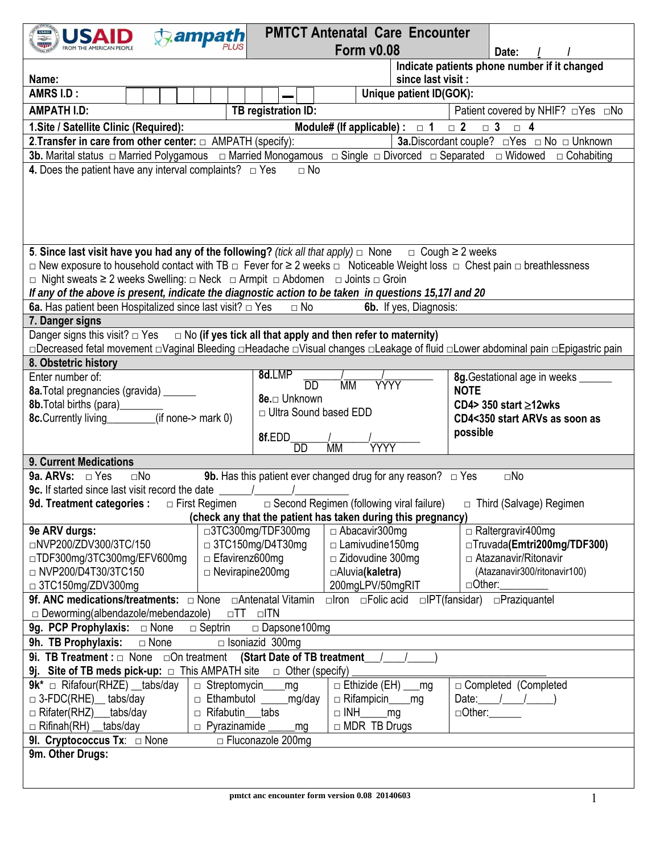| <b>USAID</b>                                                                                                                                                                                                                                                                                                                                                                                                                                                             | ampath                                                                                                                                              |                                                                                                       | <b>PMTCT Antenatal Care Encounter</b>                                    |                         |                                              |  |  |  |  |  |
|--------------------------------------------------------------------------------------------------------------------------------------------------------------------------------------------------------------------------------------------------------------------------------------------------------------------------------------------------------------------------------------------------------------------------------------------------------------------------|-----------------------------------------------------------------------------------------------------------------------------------------------------|-------------------------------------------------------------------------------------------------------|--------------------------------------------------------------------------|-------------------------|----------------------------------------------|--|--|--|--|--|
|                                                                                                                                                                                                                                                                                                                                                                                                                                                                          |                                                                                                                                                     |                                                                                                       | <b>Form v0.08</b>                                                        |                         | Date:                                        |  |  |  |  |  |
|                                                                                                                                                                                                                                                                                                                                                                                                                                                                          |                                                                                                                                                     |                                                                                                       |                                                                          |                         | Indicate patients phone number if it changed |  |  |  |  |  |
| since last visit :<br>Name:                                                                                                                                                                                                                                                                                                                                                                                                                                              |                                                                                                                                                     |                                                                                                       |                                                                          |                         |                                              |  |  |  |  |  |
| AMRS I.D:                                                                                                                                                                                                                                                                                                                                                                                                                                                                |                                                                                                                                                     |                                                                                                       |                                                                          | Unique patient ID(GOK): |                                              |  |  |  |  |  |
|                                                                                                                                                                                                                                                                                                                                                                                                                                                                          | TB registration ID:<br><b>AMPATH I.D:</b><br>Patient covered by NHIF? □Yes □No                                                                      |                                                                                                       |                                                                          |                         |                                              |  |  |  |  |  |
| Module# (If applicable) : $\Box$ 1<br>1. Site / Satellite Clinic (Required):<br>$\Box$ 3<br>$\Box$ 2<br>$\Box$ 4                                                                                                                                                                                                                                                                                                                                                         |                                                                                                                                                     |                                                                                                       |                                                                          |                         |                                              |  |  |  |  |  |
| 2. Transfer in care from other center: $\Box$ AMPATH (specify):<br>3a. Discordant couple? □ Yes □ No □ Unknown                                                                                                                                                                                                                                                                                                                                                           |                                                                                                                                                     |                                                                                                       |                                                                          |                         |                                              |  |  |  |  |  |
|                                                                                                                                                                                                                                                                                                                                                                                                                                                                          |                                                                                                                                                     |                                                                                                       |                                                                          |                         |                                              |  |  |  |  |  |
| 4. Does the patient have any interval complaints? $\Box$ Yes<br>$\Box$ No                                                                                                                                                                                                                                                                                                                                                                                                |                                                                                                                                                     |                                                                                                       |                                                                          |                         |                                              |  |  |  |  |  |
| 5. Since last visit have you had any of the following? (tick all that apply) $\Box$ None $\Box$ Cough $\geq$ 2 weeks<br>$\Box$ New exposure to household contact with TB $\Box$ Fever for $\geq 2$ weeks $\Box$ Noticeable Weight loss $\Box$ Chest pain $\Box$ breathlessness<br>□ Night sweats ≥ 2 weeks Swelling: □ Neck □ Armpit □ Abdomen □ Joints □ Groin<br>If any of the above is present, indicate the diagnostic action to be taken in questions 15,17l and 20 |                                                                                                                                                     |                                                                                                       |                                                                          |                         |                                              |  |  |  |  |  |
| 6a. Has patient been Hospitalized since last visit? $\Box$ Yes<br>$\Box$ No<br>6b. If yes, Diagnosis:                                                                                                                                                                                                                                                                                                                                                                    |                                                                                                                                                     |                                                                                                       |                                                                          |                         |                                              |  |  |  |  |  |
| 7. Danger signs                                                                                                                                                                                                                                                                                                                                                                                                                                                          |                                                                                                                                                     |                                                                                                       |                                                                          |                         |                                              |  |  |  |  |  |
| Danger signs this visit? $\Box$ Yes $\Box$ No (if yes tick all that apply and then refer to maternity)                                                                                                                                                                                                                                                                                                                                                                   |                                                                                                                                                     |                                                                                                       |                                                                          |                         |                                              |  |  |  |  |  |
| □Decreased fetal movement □Vaginal Bleeding □Headache □Visual changes □Leakage of fluid □Lower abdominal pain □Epigastric pain                                                                                                                                                                                                                                                                                                                                           |                                                                                                                                                     |                                                                                                       |                                                                          |                         |                                              |  |  |  |  |  |
| 8. Obstetric history<br>Enter number of:                                                                                                                                                                                                                                                                                                                                                                                                                                 |                                                                                                                                                     | 8d.LMP                                                                                                |                                                                          |                         |                                              |  |  |  |  |  |
|                                                                                                                                                                                                                                                                                                                                                                                                                                                                          |                                                                                                                                                     | $\overline{DD}$                                                                                       | <b>MM</b><br>YYYY                                                        | <b>NOTE</b>             | 8g. Gestational age in weeks _____           |  |  |  |  |  |
| 8a. Total pregnancies (gravida) ______<br>8b. Total births (para)________                                                                                                                                                                                                                                                                                                                                                                                                |                                                                                                                                                     | 8e.□ Unknown                                                                                          |                                                                          |                         | CD4> 350 start $\geq$ 12wks                  |  |  |  |  |  |
| 8c. Currently living_________(if none-> mark 0)                                                                                                                                                                                                                                                                                                                                                                                                                          | CD4<350 start ARVs as soon as                                                                                                                       |                                                                                                       |                                                                          |                         |                                              |  |  |  |  |  |
|                                                                                                                                                                                                                                                                                                                                                                                                                                                                          |                                                                                                                                                     |                                                                                                       | possible                                                                 |                         |                                              |  |  |  |  |  |
|                                                                                                                                                                                                                                                                                                                                                                                                                                                                          |                                                                                                                                                     | ĨМ<br>YYYY                                                                                            |                                                                          |                         |                                              |  |  |  |  |  |
| <b>9. Current Medications</b>                                                                                                                                                                                                                                                                                                                                                                                                                                            |                                                                                                                                                     |                                                                                                       |                                                                          |                         |                                              |  |  |  |  |  |
| 9a. ARVs: $\Box$ Yes<br>$\square$ No                                                                                                                                                                                                                                                                                                                                                                                                                                     |                                                                                                                                                     |                                                                                                       | <b>9b.</b> Has this patient ever changed drug for any reason? $\Box$ Yes |                         | $\square$ No                                 |  |  |  |  |  |
| 9c. If started since last visit record the date                                                                                                                                                                                                                                                                                                                                                                                                                          |                                                                                                                                                     |                                                                                                       |                                                                          |                         |                                              |  |  |  |  |  |
| 9d. Treatment categories :  □ First Regimen                                                                                                                                                                                                                                                                                                                                                                                                                              |                                                                                                                                                     |                                                                                                       | $\Box$ Second Regimen (following viral failure)                          |                         | □ Third (Salvage) Regimen                    |  |  |  |  |  |
|                                                                                                                                                                                                                                                                                                                                                                                                                                                                          |                                                                                                                                                     |                                                                                                       | (check any that the patient has taken during this pregnancy)             |                         |                                              |  |  |  |  |  |
| □NVP200/ZDV300/3TC/150                                                                                                                                                                                                                                                                                                                                                                                                                                                   | □3TC300mg/TDF300mg<br>$\Box$ Raltergravir400mg<br>9e ARV durgs:<br>$\Box$ Abacavir 300 mg<br>$\Box$ 3TC150mg/D4T30mg<br>□Truvada(Emtri200mg/TDF300) |                                                                                                       |                                                                          |                         |                                              |  |  |  |  |  |
| □TDF300mg/3TC300mg/EFV600mg                                                                                                                                                                                                                                                                                                                                                                                                                                              |                                                                                                                                                     | $\Box$ Lamivudine 150mg<br>$\Box$ Zidovudine 300mg<br>□ Atazanavir/Ritonavir<br>$\Box$ Efavirenz600mg |                                                                          |                         |                                              |  |  |  |  |  |
| □ NVP200/D4T30/3TC150                                                                                                                                                                                                                                                                                                                                                                                                                                                    |                                                                                                                                                     | $\Box$ Nevirapine200mg<br>(Atazanavir300/ritonavir100)<br>□Aluvia(kaletra)                            |                                                                          |                         |                                              |  |  |  |  |  |
| □ 3TC150mg/ZDV300mg                                                                                                                                                                                                                                                                                                                                                                                                                                                      | 200mgLPV/50mgRIT<br>$\Box$ Other: $\_\_\_\_\_\_\_\_\_\$                                                                                             |                                                                                                       |                                                                          |                         |                                              |  |  |  |  |  |
| <b>9f. ANC medications/treatments:</b> $\Box$ None $\Box$ Antenatal Vitamin<br>□IPT(fansidar) □Praziquantel<br>$\Box$ Iron $\Box$ Folic acid                                                                                                                                                                                                                                                                                                                             |                                                                                                                                                     |                                                                                                       |                                                                          |                         |                                              |  |  |  |  |  |
| $\Box$ Deworming(albendazole/mebendazole)<br>$\Box T$ $\Box T$ $\Box T$                                                                                                                                                                                                                                                                                                                                                                                                  |                                                                                                                                                     |                                                                                                       |                                                                          |                         |                                              |  |  |  |  |  |
| 9g. PCP Prophylaxis: $\Box$ None<br>□ Dapsone100mg<br>$\Box$ Septrin                                                                                                                                                                                                                                                                                                                                                                                                     |                                                                                                                                                     |                                                                                                       |                                                                          |                         |                                              |  |  |  |  |  |
| 9h. TB Prophylaxis:<br>$\Box$ None<br>$\Box$ Isoniazid 300mg                                                                                                                                                                                                                                                                                                                                                                                                             |                                                                                                                                                     |                                                                                                       |                                                                          |                         |                                              |  |  |  |  |  |
| 9i. TB Treatment : $\Box$ None $\Box$ On treatment (Start Date of TB treatment /<br>9j. Site of TB meds pick-up: $\Box$ This AMPATH site $\Box$ Other (specify)                                                                                                                                                                                                                                                                                                          |                                                                                                                                                     |                                                                                                       |                                                                          |                         |                                              |  |  |  |  |  |
| $9k^*$ $\Box$ Rifafour(RHZE) __tabs/day                                                                                                                                                                                                                                                                                                                                                                                                                                  |                                                                                                                                                     |                                                                                                       |                                                                          |                         |                                              |  |  |  |  |  |
| $\Box$ 3-FDC(RHE) tabs/day                                                                                                                                                                                                                                                                                                                                                                                                                                               | $\Box$ Ethizide (EH) ___mg<br>□ Completed (Completed<br>□ Streptomycin____mg<br>□ Ethambutol ______mg/day<br>Date: $1/$<br>$\Box$ Rifampicin_____mg |                                                                                                       |                                                                          |                         |                                              |  |  |  |  |  |
| $\Box$ Rifater(RHZ) ___tabs/day                                                                                                                                                                                                                                                                                                                                                                                                                                          | □ Rifabutin __ tabs<br>$\Box$ INH $\_\_$ mg<br>$\Box$ Other:                                                                                        |                                                                                                       |                                                                          |                         |                                              |  |  |  |  |  |
| $\Box$ Rifinah(RH) __tabs/day                                                                                                                                                                                                                                                                                                                                                                                                                                            | $\Box$ MDR TB Drugs<br>p Pyrazinamide _____<br>_mg                                                                                                  |                                                                                                       |                                                                          |                         |                                              |  |  |  |  |  |
| 91. Cryptococcus Tx: $\Box$ None<br>□ Fluconazole 200mg                                                                                                                                                                                                                                                                                                                                                                                                                  |                                                                                                                                                     |                                                                                                       |                                                                          |                         |                                              |  |  |  |  |  |
| 9m. Other Drugs:                                                                                                                                                                                                                                                                                                                                                                                                                                                         |                                                                                                                                                     |                                                                                                       |                                                                          |                         |                                              |  |  |  |  |  |
|                                                                                                                                                                                                                                                                                                                                                                                                                                                                          |                                                                                                                                                     |                                                                                                       |                                                                          |                         |                                              |  |  |  |  |  |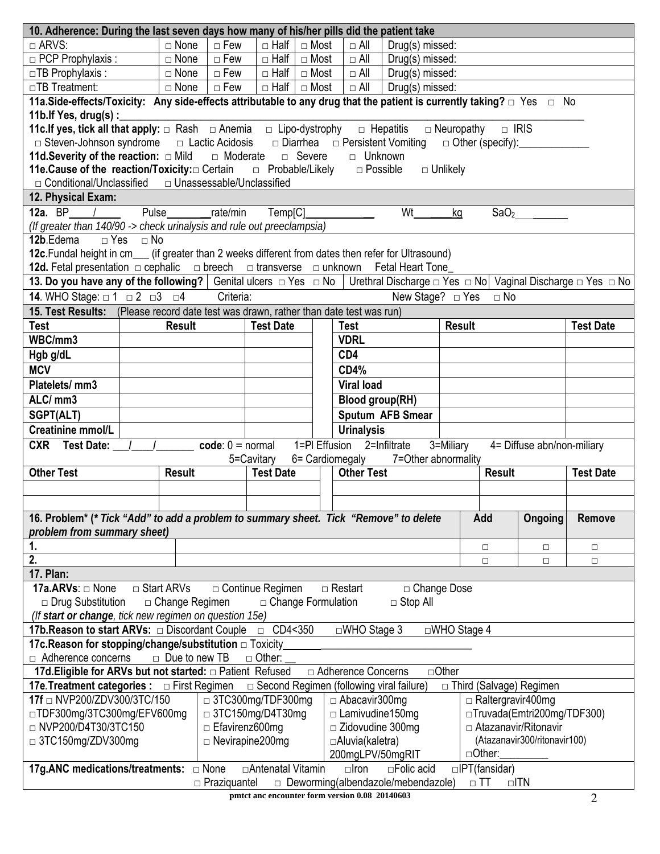| 10. Adherence: During the last seven days how many of his/her pills did the patient take                                                                 |                                                                                                                                         |                       |                       |                         |                                                          |  |                                         |                                     |               |                               |                            |                  |  |  |
|----------------------------------------------------------------------------------------------------------------------------------------------------------|-----------------------------------------------------------------------------------------------------------------------------------------|-----------------------|-----------------------|-------------------------|----------------------------------------------------------|--|-----------------------------------------|-------------------------------------|---------------|-------------------------------|----------------------------|------------------|--|--|
| $\Box$ ARVS:                                                                                                                                             |                                                                                                                                         | $\Box$ None           | $\Box$ Few            | $\Box$ Half $\Box$ Most |                                                          |  | $\Box$ All                              | Drug(s) missed:                     |               |                               |                            |                  |  |  |
| $\Box$ PCP Prophylaxis :                                                                                                                                 |                                                                                                                                         | $\Box$ None           | $\Box$ Few            | $\Box$ Half             | □ Most                                                   |  | $\Box$ All                              | Drug(s) missed:                     |               |                               |                            |                  |  |  |
| $\Box$ TB Prophylaxis:                                                                                                                                   |                                                                                                                                         | $\Box$ None           | $\Box$ Few            | □ Half □ Most           |                                                          |  | $\Box$ All                              | Drug(s) missed:                     |               |                               |                            |                  |  |  |
| □TB Treatment:                                                                                                                                           |                                                                                                                                         | $\Box$ None           | $\Box$ Few            |                         | $\Box$ Half $\Box$ Most<br>$\Box$ All<br>Drug(s) missed: |  |                                         |                                     |               |                               |                            |                  |  |  |
| 11a. Side-effects/Toxicity: Any side-effects attributable to any drug that the patient is currently taking? $\Box$ Yes $\Box$ No                         |                                                                                                                                         |                       |                       |                         |                                                          |  |                                         |                                     |               |                               |                            |                  |  |  |
| 11b. If Yes, drug(s) :                                                                                                                                   |                                                                                                                                         |                       |                       |                         |                                                          |  |                                         |                                     |               |                               |                            |                  |  |  |
| <b>11c.If yes, tick all that apply:</b> □ Rash □ Anemia □ Lipo-dystrophy                                                                                 |                                                                                                                                         |                       |                       |                         |                                                          |  |                                         | $\Box$ Hepatitis                    |               | $\Box$ Neuropathy $\Box$ IRIS |                            |                  |  |  |
| $\Box$ Steven-Johnson syndrome                                                                                                                           |                                                                                                                                         |                       |                       |                         |                                                          |  |                                         |                                     |               |                               |                            |                  |  |  |
| $\Box$ Lactic Acidosis $\Box$ Diarrhea $\Box$ Persistent Vomiting<br>11d. Severity of the reaction: $\Box$ Mild $\Box$ Moderate<br>□ Severe<br>□ Unknown |                                                                                                                                         |                       |                       |                         |                                                          |  |                                         |                                     |               |                               |                            |                  |  |  |
| <b>11e.Cause of the reaction/Toxicity:</b> □ Certain □ Probable/Likely<br>$\Box$ Possible<br>$\Box$ Unlikely                                             |                                                                                                                                         |                       |                       |                         |                                                          |  |                                         |                                     |               |                               |                            |                  |  |  |
| □ Conditional/Unclassified □ Unassessable/Unclassified                                                                                                   |                                                                                                                                         |                       |                       |                         |                                                          |  |                                         |                                     |               |                               |                            |                  |  |  |
| 12. Physical Exam:                                                                                                                                       |                                                                                                                                         |                       |                       |                         |                                                          |  |                                         |                                     |               |                               |                            |                  |  |  |
| 12a. BP $/$                                                                                                                                              |                                                                                                                                         |                       | Pulse rate/min        | Temp[C]                 |                                                          |  |                                         | Wt                                  | kg            |                               | SaO <sub>2</sub>           |                  |  |  |
| (If greater than 140/90 -> check urinalysis and rule out preeclampsia)                                                                                   |                                                                                                                                         |                       |                       |                         |                                                          |  |                                         |                                     |               |                               |                            |                  |  |  |
| 12b.Edema                                                                                                                                                | $\Box$ Yes $\Box$ No                                                                                                                    |                       |                       |                         |                                                          |  |                                         |                                     |               |                               |                            |                  |  |  |
| 12c. Fundal height in cm___ (if greater than 2 weeks different from dates then refer for Ultrasound)                                                     |                                                                                                                                         |                       |                       |                         |                                                          |  |                                         |                                     |               |                               |                            |                  |  |  |
| 12d. Fetal presentation $\Box$ cephalic $\Box$ breech $\Box$ transverse $\Box$ unknown Fetal Heart Tone                                                  |                                                                                                                                         |                       |                       |                         |                                                          |  |                                         |                                     |               |                               |                            |                  |  |  |
| 13. Do you have any of the following?   Genital ulcers □ Yes □ No   Urethral Discharge □ Yes □ No   Vaginal Discharge □ Yes □ No                         |                                                                                                                                         |                       |                       |                         |                                                          |  |                                         |                                     |               |                               |                            |                  |  |  |
| 14. WHO Stage: $\Box$ 1 $\Box$ 2 $\Box$ 3 $\Box$ 4                                                                                                       |                                                                                                                                         |                       | Criteria:             |                         |                                                          |  |                                         | New Stage? $\Box$ Yes               |               | $\Box$ No                     |                            |                  |  |  |
| 15. Test Results: (Please record date test was drawn, rather than date test was run)                                                                     |                                                                                                                                         |                       |                       |                         |                                                          |  |                                         |                                     |               |                               |                            |                  |  |  |
| <b>Test</b>                                                                                                                                              |                                                                                                                                         | <b>Result</b>         |                       | <b>Test Date</b>        |                                                          |  | <b>Test</b>                             |                                     | <b>Result</b> |                               |                            | <b>Test Date</b> |  |  |
| WBC/mm3                                                                                                                                                  |                                                                                                                                         |                       |                       |                         |                                                          |  | <b>VDRL</b>                             |                                     |               |                               |                            |                  |  |  |
| Hgb g/dL                                                                                                                                                 |                                                                                                                                         |                       |                       |                         |                                                          |  | CD4                                     |                                     |               |                               |                            |                  |  |  |
| <b>MCV</b>                                                                                                                                               |                                                                                                                                         |                       |                       |                         |                                                          |  | <b>CD4%</b>                             |                                     |               |                               |                            |                  |  |  |
| Platelets/ mm3                                                                                                                                           |                                                                                                                                         |                       |                       |                         |                                                          |  | <b>Viral load</b>                       |                                     |               |                               |                            |                  |  |  |
|                                                                                                                                                          |                                                                                                                                         |                       |                       |                         |                                                          |  |                                         |                                     |               |                               |                            |                  |  |  |
| ALC/ mm3                                                                                                                                                 |                                                                                                                                         |                       |                       |                         |                                                          |  | <b>Blood group(RH)</b>                  |                                     |               |                               |                            |                  |  |  |
| SGPT(ALT)                                                                                                                                                |                                                                                                                                         |                       |                       |                         |                                                          |  |                                         | Sputum AFB Smear                    |               |                               |                            |                  |  |  |
| <b>Creatinine mmol/L</b>                                                                                                                                 |                                                                                                                                         |                       |                       |                         |                                                          |  | <b>Urinalysis</b>                       |                                     |               |                               |                            |                  |  |  |
| <b>CXR</b> Test Date:                                                                                                                                    |                                                                                                                                         |                       | $code: 0 = normal$    |                         |                                                          |  | $\overline{1=PI}$ Effusion 2=Infiltrate |                                     | 3=Miliary     |                               | 4= Diffuse abn/non-miliary |                  |  |  |
|                                                                                                                                                          |                                                                                                                                         |                       |                       | 5=Cavitary              |                                                          |  |                                         | 6= Cardiomegaly 7=Other abnormality |               |                               |                            |                  |  |  |
| <b>Other Test</b>                                                                                                                                        |                                                                                                                                         | <b>Result</b>         |                       | <b>Test Date</b>        |                                                          |  | <b>Other Test</b>                       |                                     |               | Result                        |                            | <b>Test Date</b> |  |  |
|                                                                                                                                                          |                                                                                                                                         |                       |                       |                         |                                                          |  |                                         |                                     |               |                               |                            |                  |  |  |
|                                                                                                                                                          |                                                                                                                                         |                       |                       |                         |                                                          |  |                                         |                                     |               |                               |                            |                  |  |  |
| 16. Problem* (* Tick "Add" to add a problem to summary sheet. Tick "Remove" to delete                                                                    |                                                                                                                                         |                       |                       |                         |                                                          |  |                                         |                                     |               | Add                           | <b>Ongoing</b>             | <b>Remove</b>    |  |  |
| problem from summary sheet)                                                                                                                              |                                                                                                                                         |                       |                       |                         |                                                          |  |                                         |                                     |               |                               |                            |                  |  |  |
| 1.                                                                                                                                                       |                                                                                                                                         |                       |                       |                         |                                                          |  |                                         |                                     |               | $\Box$                        | $\Box$                     | $\Box$           |  |  |
| 2.                                                                                                                                                       |                                                                                                                                         |                       |                       |                         |                                                          |  |                                         |                                     |               | $\Box$                        | $\Box$                     | $\Box$           |  |  |
| 17. Plan:                                                                                                                                                |                                                                                                                                         |                       |                       |                         |                                                          |  |                                         |                                     |               |                               |                            |                  |  |  |
| 17a.ARVs: □ None                                                                                                                                         |                                                                                                                                         | $\Box$ Start ARVs     |                       | □ Continue Regimen      |                                                          |  | $\Box$ Restart                          | □ Change Dose                       |               |                               |                            |                  |  |  |
| □ Drug Substitution                                                                                                                                      |                                                                                                                                         | $\Box$ Change Regimen |                       | □ Change Formulation    |                                                          |  |                                         | $\Box$ Stop All                     |               |                               |                            |                  |  |  |
| (If start or change, tick new regimen on question 15e)                                                                                                   |                                                                                                                                         |                       |                       |                         |                                                          |  |                                         |                                     |               |                               |                            |                  |  |  |
| □ CD4<350<br><b>17b. Reason to start ARVs:</b> □ Discordant Couple<br>$\square$ WHO Stage 3<br>$\square$ WHO Stage 4                                     |                                                                                                                                         |                       |                       |                         |                                                          |  |                                         |                                     |               |                               |                            |                  |  |  |
| <b>17c. Reason for stopping/change/substitution</b> □ Toxicity                                                                                           |                                                                                                                                         |                       |                       |                         |                                                          |  |                                         |                                     |               |                               |                            |                  |  |  |
| □ Adherence concerns<br>$\Box$ Due to new TB<br>$\Box$ Other:                                                                                            |                                                                                                                                         |                       |                       |                         |                                                          |  |                                         |                                     |               |                               |                            |                  |  |  |
| □ Other<br>17d. Eligible for ARVs but not started: $\Box$ Patient Refused<br>□ Adherence Concerns                                                        |                                                                                                                                         |                       |                       |                         |                                                          |  |                                         |                                     |               |                               |                            |                  |  |  |
| <b>17e. Treatment categories :</b> □ First Regimen<br>□ Second Regimen (following viral failure)<br>□ Third (Salvage) Regimen                            |                                                                                                                                         |                       |                       |                         |                                                          |  |                                         |                                     |               |                               |                            |                  |  |  |
| 17f □ NVP200/ZDV300/3TC/150                                                                                                                              |                                                                                                                                         |                       |                       |                         |                                                          |  | □ Abacavir300mg                         |                                     |               | $\Box$ Raltergravir400mg      |                            |                  |  |  |
|                                                                                                                                                          | □ 3TC300mg/TDF300mg<br>□TDF300mg/3TC300mg/EFV600mg<br>$\Box$ 3TC150mg/D4T30mg<br>$\Box$ Lamivudine 150mg<br>□Truvada(Emtri200mg/TDF300) |                       |                       |                         |                                                          |  |                                         |                                     |               |                               |                            |                  |  |  |
| □ NVP200/D4T30/3TC150                                                                                                                                    |                                                                                                                                         |                       | $\Box$ Efavirenz600mg |                         |                                                          |  | $\Box$ Zidovudine 300mg                 |                                     |               | □ Atazanavir/Ritonavir        |                            |                  |  |  |
|                                                                                                                                                          |                                                                                                                                         |                       |                       |                         |                                                          |  |                                         |                                     |               |                               |                            |                  |  |  |
| (Atazanavir300/ritonavir100)<br>□ 3TC150mg/ZDV300mg<br>$\Box$ Nevirapine 200mg<br>□Aluvia(kaletra)<br>$\Box$ Other:<br>200mgLPV/50mgRIT                  |                                                                                                                                         |                       |                       |                         |                                                          |  |                                         |                                     |               |                               |                            |                  |  |  |
| 17g.ANC medications/treatments: $\Box$ None<br>□ Antenatal Vitamin<br>$\Box$ IPT(fansidar)<br>$\Box$ Iron<br>$\Box$ Folic acid                           |                                                                                                                                         |                       |                       |                         |                                                          |  |                                         |                                     |               |                               |                            |                  |  |  |
| $\Box$ Praziquantel<br>$\Box$ Deworming(albendazole/mebendazole)<br>$\Box$ TN<br>$\Box$ TT                                                               |                                                                                                                                         |                       |                       |                         |                                                          |  |                                         |                                     |               |                               |                            |                  |  |  |
|                                                                                                                                                          |                                                                                                                                         |                       |                       |                         |                                                          |  |                                         |                                     |               |                               |                            |                  |  |  |